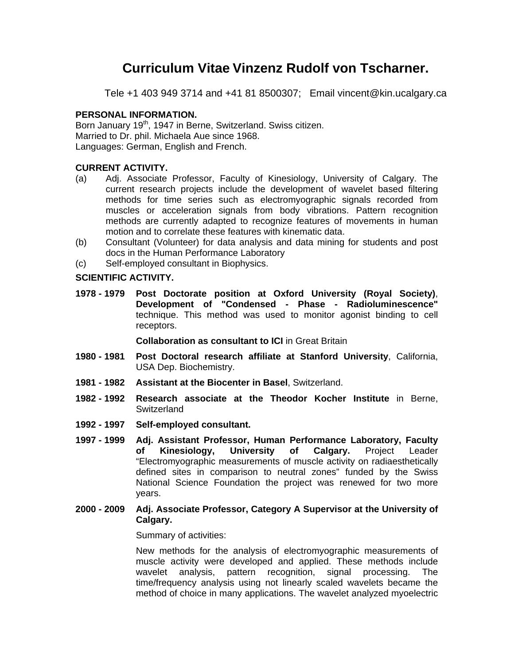# **Curriculum Vitae Vinzenz Rudolf von Tscharner.**

Tele +1 403 949 3714 and +41 81 8500307; Email vincent@kin.ucalgary.ca

## **PERSONAL INFORMATION.**

Born January 19<sup>th</sup>, 1947 in Berne, Switzerland. Swiss citizen. Married to Dr. phil. Michaela Aue since 1968. Languages: German, English and French.

## **CURRENT ACTIVITY.**

- (a) Adj. Associate Professor, Faculty of Kinesiology, University of Calgary. The current research projects include the development of wavelet based filtering methods for time series such as electromyographic signals recorded from muscles or acceleration signals from body vibrations. Pattern recognition methods are currently adapted to recognize features of movements in human motion and to correlate these features with kinematic data.
- (b) Consultant (Volunteer) for data analysis and data mining for students and post docs in the Human Performance Laboratory
- (c) Self-employed consultant in Biophysics.

## **SCIENTIFIC ACTIVITY.**

**1978 - 1979 Post Doctorate position at Oxford University (Royal Society)**, **Development of "Condensed - Phase - Radioluminescence"** technique. This method was used to monitor agonist binding to cell receptors.

 **Collaboration as consultant to ICI** in Great Britain

- **1980 1981 Post Doctoral research affiliate at Stanford University**, California, USA Dep. Biochemistry.
- **1981 1982 Assistant at the Biocenter in Basel**, Switzerland.
- **1982 1992 Research associate at the Theodor Kocher Institute** in Berne, **Switzerland**
- **1992 1997 Self-employed consultant.**
- **1997 1999 Adj. Assistant Professor, Human Performance Laboratory, Faculty of Kinesiology, University of Calgary.** Project Leader "Electromyographic measurements of muscle activity on radiaesthetically defined sites in comparison to neutral zones" funded by the Swiss National Science Foundation the project was renewed for two more years.
- **2000 2009 Adj. Associate Professor, Category A Supervisor at the University of Calgary.**

Summary of activities:

 New methods for the analysis of electromyographic measurements of muscle activity were developed and applied. These methods include wavelet analysis, pattern recognition, signal processing. The time/frequency analysis using not linearly scaled wavelets became the method of choice in many applications. The wavelet analyzed myoelectric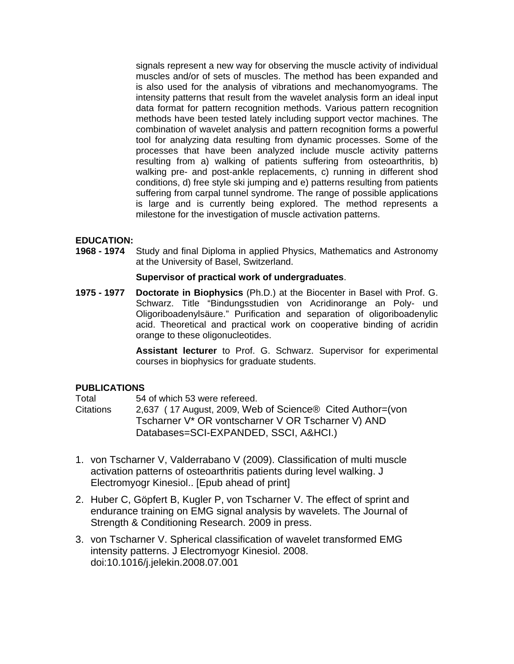signals represent a new way for observing the muscle activity of individual muscles and/or of sets of muscles. The method has been expanded and is also used for the analysis of vibrations and mechanomyograms. The intensity patterns that result from the wavelet analysis form an ideal input data format for pattern recognition methods. Various pattern recognition methods have been tested lately including support vector machines. The combination of wavelet analysis and pattern recognition forms a powerful tool for analyzing data resulting from dynamic processes. Some of the processes that have been analyzed include muscle activity patterns resulting from a) walking of patients suffering from osteoarthritis, b) walking pre- and post-ankle replacements, c) running in different shod conditions, d) free style ski jumping and e) patterns resulting from patients suffering from carpal tunnel syndrome. The range of possible applications is large and is currently being explored. The method represents a milestone for the investigation of muscle activation patterns.

### **EDUCATION:**

**1968 - 1974** Study and final Diploma in applied Physics, Mathematics and Astronomy at the University of Basel, Switzerland.

### **Supervisor of practical work of undergraduates**.

**1975 - 1977 Doctorate in Biophysics** (Ph.D.) at the Biocenter in Basel with Prof. G. Schwarz. Title "Bindungsstudien von Acridinorange an Poly- und Oligoriboadenylsäure." Purification and separation of oligoriboadenylic acid. Theoretical and practical work on cooperative binding of acridin orange to these oligonucleotides.

> **Assistant lecturer** to Prof. G. Schwarz. Supervisor for experimental courses in biophysics for graduate students.

### **PUBLICATIONS**

Total 54 of which 53 were refereed. Citations 2,637 ( 17 August, 2009, Web of Science® Cited Author=(von Tscharner V\* OR vontscharner V OR Tscharner V) AND Databases=SCI-EXPANDED, SSCI, A&HCI.)

- 1. von Tscharner V, Valderrabano V (2009). Classification of multi muscle activation patterns of osteoarthritis patients during level walking. J Electromyogr Kinesiol.. [Epub ahead of print]
- 2. Huber C, Göpfert B, Kugler P, von Tscharner V. The effect of sprint and endurance training on EMG signal analysis by wavelets. The Journal of Strength & Conditioning Research. 2009 in press.
- 3. von Tscharner V. Spherical classification of wavelet transformed EMG intensity patterns. J Electromyogr Kinesiol. 2008. doi:10.1016/j.jelekin.2008.07.001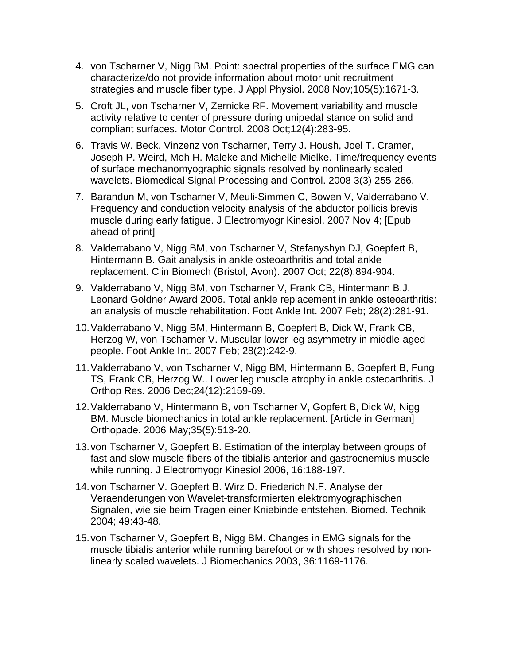- 4. von Tscharner V, Nigg BM. Point: spectral properties of the surface EMG can characterize/do not provide information about motor unit recruitment strategies and muscle fiber type. J Appl Physiol. 2008 Nov;105(5):1671-3.
- 5. Croft JL, von Tscharner V, Zernicke RF. Movement variability and muscle activity relative to center of pressure during unipedal stance on solid and compliant surfaces. Motor Control. 2008 Oct;12(4):283-95.
- 6. Travis W. Beck, Vinzenz von Tscharner, Terry J. Housh, Joel T. Cramer, Joseph P. Weird, Moh H. Maleke and Michelle Mielke. Time/frequency events of surface mechanomyographic signals resolved by nonlinearly scaled wavelets. Biomedical Signal Processing and Control. 2008 3(3) 255-266.
- 7. Barandun M, von Tscharner V, Meuli-Simmen C, Bowen V, Valderrabano V. Frequency and conduction velocity analysis of the abductor pollicis brevis muscle during early fatigue. J Electromyogr Kinesiol. 2007 Nov 4; [Epub ahead of print]
- 8. Valderrabano V, Nigg BM, von Tscharner V, Stefanyshyn DJ, Goepfert B, Hintermann B. Gait analysis in ankle osteoarthritis and total ankle replacement. Clin Biomech (Bristol, Avon). 2007 Oct; 22(8):894-904.
- 9. Valderrabano V, Nigg BM, von Tscharner V, Frank CB, Hintermann B.J. Leonard Goldner Award 2006. Total ankle replacement in ankle osteoarthritis: an analysis of muscle rehabilitation. Foot Ankle Int. 2007 Feb; 28(2):281-91.
- 10. Valderrabano V, Nigg BM, Hintermann B, Goepfert B, Dick W, Frank CB, Herzog W, von Tscharner V. Muscular lower leg asymmetry in middle-aged people. Foot Ankle Int. 2007 Feb; 28(2):242-9.
- 11. Valderrabano V, von Tscharner V, Nigg BM, Hintermann B, Goepfert B, Fung TS, Frank CB, Herzog W.. Lower leg muscle atrophy in ankle osteoarthritis. J Orthop Res. 2006 Dec;24(12):2159-69.
- 12. Valderrabano V, Hintermann B, von Tscharner V, Gopfert B, Dick W, Nigg BM. Muscle biomechanics in total ankle replacement. [Article in German] Orthopade. 2006 May;35(5):513-20.
- 13. von Tscharner V, Goepfert B. Estimation of the interplay between groups of fast and slow muscle fibers of the tibialis anterior and gastrocnemius muscle while running. J Electromyogr Kinesiol 2006, 16:188-197.
- 14. von Tscharner V. Goepfert B. Wirz D. Friederich N.F. Analyse der Veraenderungen von Wavelet-transformierten elektromyographischen Signalen, wie sie beim Tragen einer Kniebinde entstehen. Biomed. Technik 2004; 49:43-48.
- 15. von Tscharner V, Goepfert B, Nigg BM. Changes in EMG signals for the muscle tibialis anterior while running barefoot or with shoes resolved by nonlinearly scaled wavelets. J Biomechanics 2003, 36:1169-1176.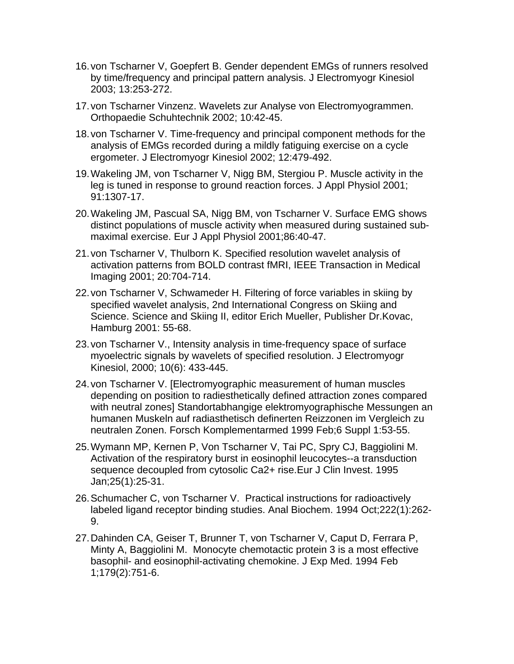- 16. von Tscharner V, Goepfert B. Gender dependent EMGs of runners resolved by time/frequency and principal pattern analysis. J Electromyogr Kinesiol 2003; 13:253-272.
- 17. von Tscharner Vinzenz. Wavelets zur Analyse von Electromyogrammen. Orthopaedie Schuhtechnik 2002; 10:42-45.
- 18. von Tscharner V. Time-frequency and principal component methods for the analysis of EMGs recorded during a mildly fatiguing exercise on a cycle ergometer. J Electromyogr Kinesiol 2002; 12:479-492.
- 19. Wakeling JM, von Tscharner V, Nigg BM, Stergiou P. Muscle activity in the leg is tuned in response to ground reaction forces. J Appl Physiol 2001; 91:1307-17.
- 20. Wakeling JM, Pascual SA, Nigg BM, von Tscharner V. Surface EMG shows distinct populations of muscle activity when measured during sustained submaximal exercise. Eur J Appl Physiol 2001;86:40-47.
- 21. von Tscharner V, Thulborn K. Specified resolution wavelet analysis of activation patterns from BOLD contrast fMRI, IEEE Transaction in Medical Imaging 2001; 20:704-714.
- 22. von Tscharner V, Schwameder H. Filtering of force variables in skiing by specified wavelet analysis, 2nd International Congress on Skiing and Science. Science and Skiing II, editor Erich Mueller, Publisher Dr.Kovac, Hamburg 2001: 55-68.
- 23. von Tscharner V., Intensity analysis in time-frequency space of surface myoelectric signals by wavelets of specified resolution. J Electromyogr Kinesiol, 2000; 10(6): 433-445.
- 24. von Tscharner V. [Electromyographic measurement of human muscles depending on position to radiesthetically defined attraction zones compared with neutral zones] Standortabhangige elektromyographische Messungen an humanen Muskeln auf radiasthetisch definerten Reizzonen im Vergleich zu neutralen Zonen. Forsch Komplementarmed 1999 Feb;6 Suppl 1:53-55.
- 25. Wymann MP, Kernen P, Von Tscharner V, Tai PC, Spry CJ, Baggiolini M. Activation of the respiratory burst in eosinophil leucocytes--a transduction sequence decoupled from cytosolic Ca2+ rise.Eur J Clin Invest. 1995 Jan;25(1):25-31.
- 26. Schumacher C, von Tscharner V. Practical instructions for radioactively labeled ligand receptor binding studies. Anal Biochem. 1994 Oct;222(1):262- 9.
- 27. Dahinden CA, Geiser T, Brunner T, von Tscharner V, Caput D, Ferrara P, Minty A, Baggiolini M. Monocyte chemotactic protein 3 is a most effective basophil- and eosinophil-activating chemokine. J Exp Med. 1994 Feb 1;179(2):751-6.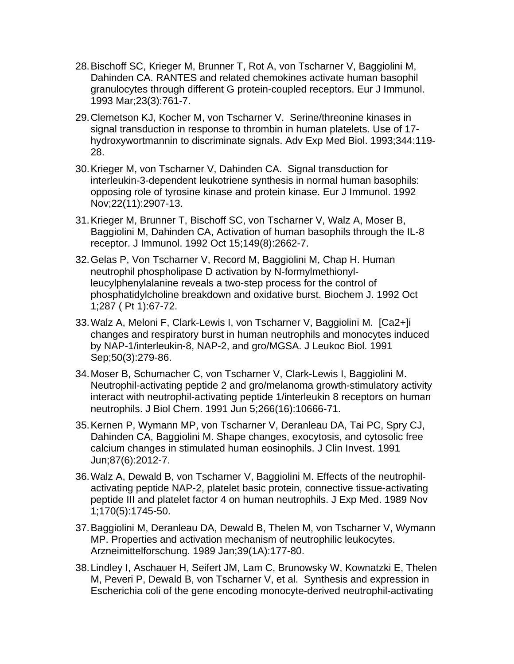- 28. Bischoff SC, Krieger M, Brunner T, Rot A, von Tscharner V, Baggiolini M, Dahinden CA. RANTES and related chemokines activate human basophil granulocytes through different G protein-coupled receptors. Eur J Immunol. 1993 Mar;23(3):761-7.
- 29. Clemetson KJ, Kocher M, von Tscharner V. Serine/threonine kinases in signal transduction in response to thrombin in human platelets. Use of 17 hydroxywortmannin to discriminate signals. Adv Exp Med Biol. 1993;344:119- 28.
- 30. Krieger M, von Tscharner V, Dahinden CA. Signal transduction for interleukin-3-dependent leukotriene synthesis in normal human basophils: opposing role of tyrosine kinase and protein kinase. Eur J Immunol. 1992 Nov;22(11):2907-13.
- 31. Krieger M, Brunner T, Bischoff SC, von Tscharner V, Walz A, Moser B, Baggiolini M, Dahinden CA, Activation of human basophils through the IL-8 receptor. J Immunol. 1992 Oct 15;149(8):2662-7.
- 32. Gelas P, Von Tscharner V, Record M, Baggiolini M, Chap H. Human neutrophil phospholipase D activation by N-formylmethionylleucylphenylalanine reveals a two-step process for the control of phosphatidylcholine breakdown and oxidative burst. Biochem J. 1992 Oct 1;287 ( Pt 1):67-72.
- 33. Walz A, Meloni F, Clark-Lewis I, von Tscharner V, Baggiolini M. [Ca2+]i changes and respiratory burst in human neutrophils and monocytes induced by NAP-1/interleukin-8, NAP-2, and gro/MGSA. J Leukoc Biol. 1991 Sep;50(3):279-86.
- 34. Moser B, Schumacher C, von Tscharner V, Clark-Lewis I, Baggiolini M. Neutrophil-activating peptide 2 and gro/melanoma growth-stimulatory activity interact with neutrophil-activating peptide 1/interleukin 8 receptors on human neutrophils. J Biol Chem. 1991 Jun 5;266(16):10666-71.
- 35. Kernen P, Wymann MP, von Tscharner V, Deranleau DA, Tai PC, Spry CJ, Dahinden CA, Baggiolini M. Shape changes, exocytosis, and cytosolic free calcium changes in stimulated human eosinophils. J Clin Invest. 1991 Jun;87(6):2012-7.
- 36. Walz A, Dewald B, von Tscharner V, Baggiolini M. Effects of the neutrophilactivating peptide NAP-2, platelet basic protein, connective tissue-activating peptide III and platelet factor 4 on human neutrophils. J Exp Med. 1989 Nov 1;170(5):1745-50.
- 37. Baggiolini M, Deranleau DA, Dewald B, Thelen M, von Tscharner V, Wymann MP. Properties and activation mechanism of neutrophilic leukocytes. Arzneimittelforschung. 1989 Jan;39(1A):177-80.
- 38. Lindley I, Aschauer H, Seifert JM, Lam C, Brunowsky W, Kownatzki E, Thelen M, Peveri P, Dewald B, von Tscharner V, et al. Synthesis and expression in Escherichia coli of the gene encoding monocyte-derived neutrophil-activating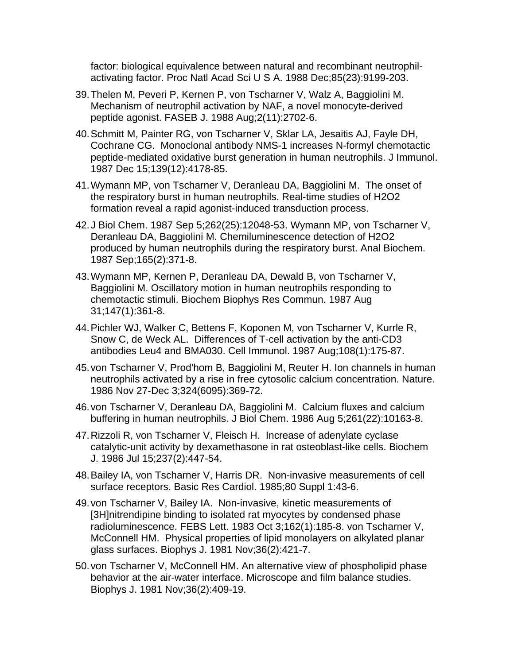factor: biological equivalence between natural and recombinant neutrophilactivating factor. Proc Natl Acad Sci U S A. 1988 Dec;85(23):9199-203.

- 39. Thelen M, Peveri P, Kernen P, von Tscharner V, Walz A, Baggiolini M. Mechanism of neutrophil activation by NAF, a novel monocyte-derived peptide agonist. FASEB J. 1988 Aug;2(11):2702-6.
- 40. Schmitt M, Painter RG, von Tscharner V, Sklar LA, Jesaitis AJ, Fayle DH, Cochrane CG. Monoclonal antibody NMS-1 increases N-formyl chemotactic peptide-mediated oxidative burst generation in human neutrophils. J Immunol. 1987 Dec 15;139(12):4178-85.
- 41. Wymann MP, von Tscharner V, Deranleau DA, Baggiolini M. The onset of the respiratory burst in human neutrophils. Real-time studies of H2O2 formation reveal a rapid agonist-induced transduction process.
- 42. J Biol Chem. 1987 Sep 5;262(25):12048-53. Wymann MP, von Tscharner V, Deranleau DA, Baggiolini M. Chemiluminescence detection of H2O2 produced by human neutrophils during the respiratory burst. Anal Biochem. 1987 Sep;165(2):371-8.
- 43. Wymann MP, Kernen P, Deranleau DA, Dewald B, von Tscharner V, Baggiolini M. Oscillatory motion in human neutrophils responding to chemotactic stimuli. Biochem Biophys Res Commun. 1987 Aug 31;147(1):361-8.
- 44. Pichler WJ, Walker C, Bettens F, Koponen M, von Tscharner V, Kurrle R, Snow C, de Weck AL. Differences of T-cell activation by the anti-CD3 antibodies Leu4 and BMA030. Cell Immunol. 1987 Aug;108(1):175-87.
- 45. von Tscharner V, Prod'hom B, Baggiolini M, Reuter H. Ion channels in human neutrophils activated by a rise in free cytosolic calcium concentration. Nature. 1986 Nov 27-Dec 3;324(6095):369-72.
- 46. von Tscharner V, Deranleau DA, Baggiolini M. Calcium fluxes and calcium buffering in human neutrophils. J Biol Chem. 1986 Aug 5;261(22):10163-8.
- 47. Rizzoli R, von Tscharner V, Fleisch H. Increase of adenylate cyclase catalytic-unit activity by dexamethasone in rat osteoblast-like cells. Biochem J. 1986 Jul 15;237(2):447-54.
- 48. Bailey IA, von Tscharner V, Harris DR. Non-invasive measurements of cell surface receptors. Basic Res Cardiol. 1985;80 Suppl 1:43-6.
- 49. von Tscharner V, Bailey IA. Non-invasive, kinetic measurements of [3H]nitrendipine binding to isolated rat myocytes by condensed phase radioluminescence. FEBS Lett. 1983 Oct 3;162(1):185-8. von Tscharner V, McConnell HM. Physical properties of lipid monolayers on alkylated planar glass surfaces. Biophys J. 1981 Nov;36(2):421-7.
- 50. von Tscharner V, McConnell HM. An alternative view of phospholipid phase behavior at the air-water interface. Microscope and film balance studies. Biophys J. 1981 Nov;36(2):409-19.